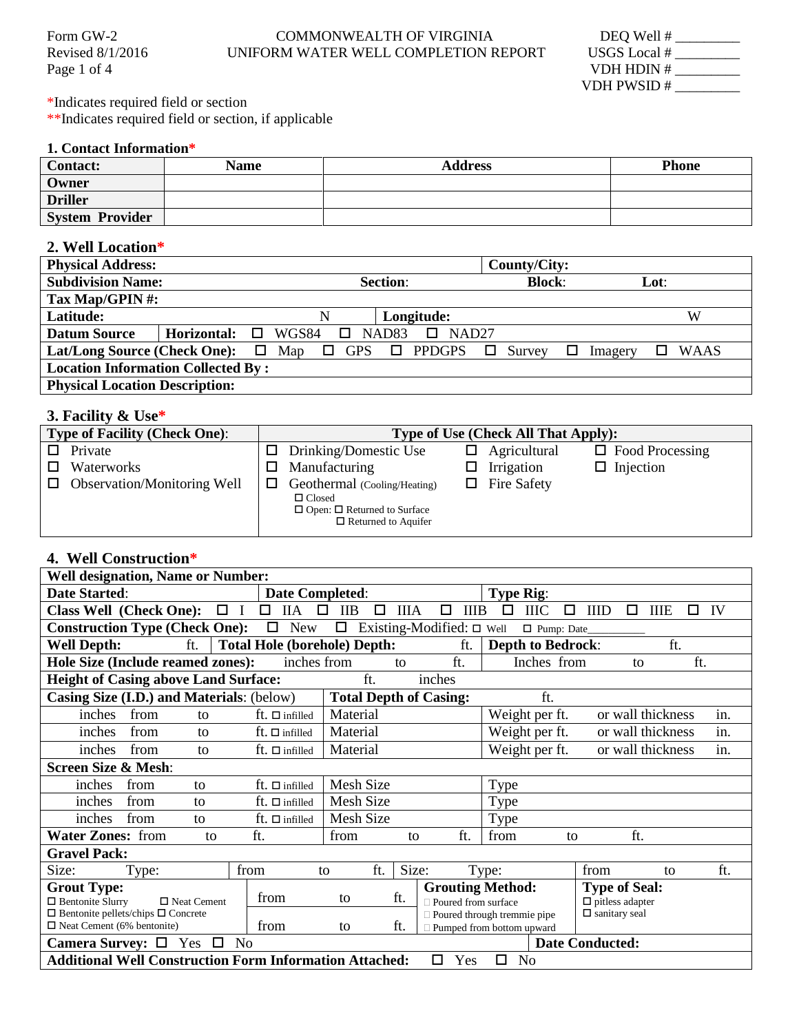| Form GW-2          | <b>COMMONWEALTH OF VIRGINIA</b>      | DEQ Well #   |
|--------------------|--------------------------------------|--------------|
| Revised $8/1/2016$ | UNIFORM WATER WELL COMPLETION REPORT | USGS Local # |

| DEQ Well #   |  |
|--------------|--|
| USGS Local # |  |
| VDH HDIN#    |  |
| VDH PWSID#   |  |

Page 1 of 4

\*Indicates required field or section \*\*Indicates required field or section, if applicable

## **1. Contact Information\***

| <b>Contact:</b>        | <b>Name</b> | <b>Address</b> | <b>Phone</b> |
|------------------------|-------------|----------------|--------------|
| Owner                  |             |                |              |
| <b>Driller</b>         |             |                |              |
| <b>System Provider</b> |             |                |              |

#### **2. Well Location\***

| <b>Physical Address:</b>                                         |                                 |                                  |                         | County/City:     |         |             |
|------------------------------------------------------------------|---------------------------------|----------------------------------|-------------------------|------------------|---------|-------------|
| <b>Subdivision Name:</b>                                         |                                 | <b>Section:</b><br><b>Block:</b> |                         |                  | Lot:    |             |
| Tax Map/GPIN #:                                                  |                                 |                                  |                         |                  |         |             |
| Latitude:                                                        |                                 | N                                | Longitude:              |                  |         | W           |
| <b>Datum Source</b>                                              | <b>Horizontal:</b> $\Box$ WGS84 | $\Box$ NAD83                     | NAD <sub>27</sub><br>D. |                  |         |             |
| Lat/Long Source (Check One): $\Box$ Map $\Box$ GPS $\Box$ PPDGPS |                                 |                                  |                         | Survey<br>$\Box$ | Imagery | <b>WAAS</b> |
| <b>Location Information Collected By:</b>                        |                                 |                                  |                         |                  |         |             |
| <b>Physical Location Description:</b>                            |                                 |                                  |                         |                  |         |             |

### **3. Facility & Use\***

| <b>Type of Facility (Check One):</b> |                                                                                                                        | <b>Type of Use (Check All That Apply):</b> |
|--------------------------------------|------------------------------------------------------------------------------------------------------------------------|--------------------------------------------|
| Private<br>П.                        | Drinking/Domestic Use<br>ப                                                                                             | Agricultural<br>$\Box$ Food Processing     |
| Waterworks                           | Manufacturing<br>LΙ                                                                                                    | $\Box$ Injection<br>$\Box$ Irrigation      |
| <b>Observation/Monitoring Well</b>   | Geothermal (Cooling/Heating)<br>$\Box$ Closed<br>$\Box$ Open: $\Box$ Returned to Surface<br>$\Box$ Returned to Aquifer | Fire Safety                                |

# **4. Well Construction\***

| <b>Well designation, Name or Number:</b>                                                                                                                   |                                          |                                             |                                                  |                                                                   |                                                                        |         |
|------------------------------------------------------------------------------------------------------------------------------------------------------------|------------------------------------------|---------------------------------------------|--------------------------------------------------|-------------------------------------------------------------------|------------------------------------------------------------------------|---------|
| Date Started:                                                                                                                                              | <b>Date Completed:</b>                   |                                             |                                                  | <b>Type Rig:</b>                                                  |                                                                        |         |
| <b>Class Well (Check One):</b><br>$\Box$ I                                                                                                                 | □<br><b>IIA</b><br>□                     | <b>IIIA</b><br>$\Box$<br>$_{\text{IIB}}$    | <b>IIIB</b><br>□                                 | <b>IIIC</b><br>0<br>□                                             | <b>IIID</b><br>◻<br><b>IIIE</b>                                        | IV<br>0 |
| <b>Construction Type (Check One):</b>                                                                                                                      | $\Box$<br>New                            | Existing-Modified: $\square$ Well<br>$\Box$ |                                                  | □ Pump: Date_                                                     |                                                                        |         |
| ft.<br><b>Well Depth:</b>                                                                                                                                  |                                          | <b>Total Hole (borehole) Depth:</b>         | ft.                                              | <b>Depth to Bedrock:</b>                                          | ft.                                                                    |         |
| Hole Size (Include reamed zones):                                                                                                                          | inches from                              | to                                          | ft.                                              | Inches from                                                       | to                                                                     | ft.     |
| <b>Height of Casing above Land Surface:</b>                                                                                                                |                                          | ft.                                         | inches                                           |                                                                   |                                                                        |         |
| Casing Size (I.D.) and Materials: (below)                                                                                                                  |                                          | <b>Total Depth of Casing:</b>               |                                                  | ft.                                                               |                                                                        |         |
| from<br>inches<br>to                                                                                                                                       | $ft. □$ infilled                         | Material                                    |                                                  | Weight per ft.                                                    | or wall thickness                                                      | in.     |
| from<br>inches<br>to                                                                                                                                       | $\operatorname{ft}$ . $\square$ infilled | Material                                    |                                                  | Weight per ft.                                                    | or wall thickness                                                      | in.     |
| inches<br>from<br>to                                                                                                                                       | $ft. □$ infilled                         | Material                                    |                                                  | Weight per ft.                                                    | or wall thickness                                                      | in.     |
| <b>Screen Size &amp; Mesh:</b>                                                                                                                             |                                          |                                             |                                                  |                                                                   |                                                                        |         |
| from<br>inches<br>to                                                                                                                                       | $ft. \Box$ infilled                      | <b>Mesh Size</b>                            |                                                  | Type                                                              |                                                                        |         |
| inches<br>from<br>to                                                                                                                                       | $ft. □$ infilled                         | Mesh Size                                   |                                                  | Type                                                              |                                                                        |         |
| inches<br>from<br>to                                                                                                                                       | $ft. □$ infilled                         | Mesh Size                                   |                                                  | Type                                                              |                                                                        |         |
| <b>Water Zones: from</b><br>to                                                                                                                             | ft.                                      | from<br>to                                  | ft.                                              | from<br>to                                                        | ft.                                                                    |         |
| <b>Gravel Pack:</b>                                                                                                                                        |                                          |                                             |                                                  |                                                                   |                                                                        |         |
| Size:<br>Type:                                                                                                                                             | from                                     | Size:<br>ft.<br>to                          |                                                  | Type:                                                             | from<br>to                                                             | ft.     |
| <b>Grout Type:</b><br>$\Box$ Bentonite Slurry<br>$\Box$ Neat Cement<br>$\Box$ Bentonite pellets/chips $\Box$ Concrete<br>$\Box$ Neat Cement (6% bentonite) | from<br>from                             | ft.<br>to<br>ft.<br>to                      | <b>Grouting Method:</b><br>□ Poured from surface | D Poured through tremmie pipe<br>$\Box$ Pumped from bottom upward | <b>Type of Seal:</b><br>$\Box$ pitless adapter<br>$\Box$ sanitary seal |         |
| Camera Survey: $\Box$<br>Yes<br>$\Box$<br>N <sub>0</sub>                                                                                                   |                                          |                                             |                                                  |                                                                   | <b>Date Conducted:</b>                                                 |         |
| <b>Additional Well Construction Form Information Attached:</b>                                                                                             |                                          |                                             | Yes<br>□                                         | <b>No</b><br>□                                                    |                                                                        |         |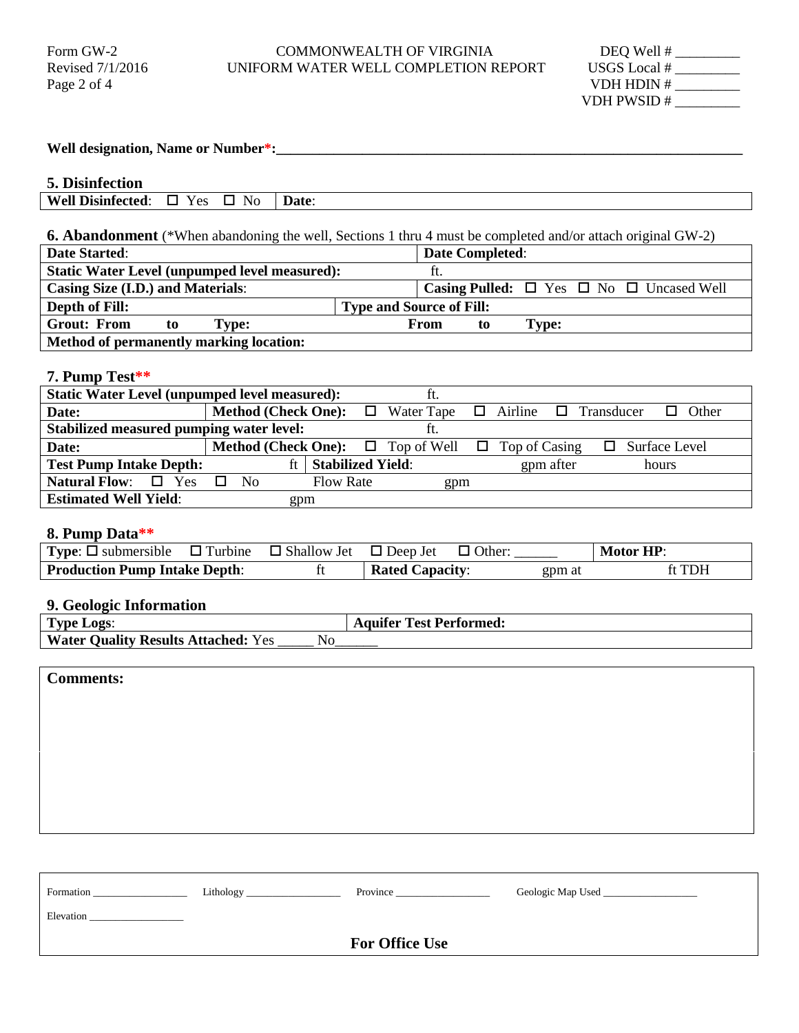#### Form GW-2 COMMONWEALTH OF VIRGINIA<br>Revised 7/1/2016 UNIFORM WATER WELL COMPLETION F UNIFORM WATER WELL COMPLETION REPORT

| DEQ Well #   |  |
|--------------|--|
| USGS Local # |  |
| VDH HDIN#    |  |
| VDH PWSID #  |  |

| Well designation, Name or Number*:                                                                                                 |  |
|------------------------------------------------------------------------------------------------------------------------------------|--|
| 5. Disinfection                                                                                                                    |  |
| <b>Well Disinfected:</b><br>$\Box$ Yes<br>$\square$ No<br>Date:                                                                    |  |
|                                                                                                                                    |  |
| <b>6. Abandonment</b> (*When abandoning the well, Sections 1 thru 4 must be completed and/or attach original GW-2)                 |  |
| <b>Date Started:</b><br><b>Date Completed:</b>                                                                                     |  |
| <b>Static Water Level (unpumped level measured):</b><br>ft.                                                                        |  |
| <b>Casing Size (I.D.) and Materials:</b><br>Casing Pulled: $\square$ Yes $\square$ No $\square$ Uncased Well                       |  |
| Depth of Fill:<br><b>Type and Source of Fill:</b>                                                                                  |  |
| <b>Grout: From</b><br>Type:<br>From<br>to<br><b>Type:</b><br>to                                                                    |  |
| Method of permanently marking location:                                                                                            |  |
| 7. Pump Test**                                                                                                                     |  |
| <b>Static Water Level (unpumped level measured):</b><br>ft.                                                                        |  |
| <b>Method (Check One):</b><br>Airline<br>Date:<br>Water Tape<br>Transducer<br>Other<br>□<br>□<br>□<br>$\Box$                       |  |
| Stabilized measured pumping water level:<br>ft.                                                                                    |  |
| <b>Method (Check One):</b><br>$\Box$ Top of Well<br>Top of Casing<br>Surface Level<br>Date:<br>$\Box$<br>0                         |  |
| ft   Stabilized Yield:<br><b>Test Pump Intake Depth:</b><br>gpm after<br>hours                                                     |  |
| $\Box$<br><b>Natural Flow:</b><br>$\Box$ Yes<br>N <sub>o</sub><br><b>Flow Rate</b><br>gpm                                          |  |
| <b>Estimated Well Yield:</b><br>gpm                                                                                                |  |
|                                                                                                                                    |  |
| 8. Pump Data**                                                                                                                     |  |
| <b>Type:</b> $\square$ submersible<br>$\Box$ Turbine<br>$\Box$ Shallow Jet<br>$\Box$ Deep Jet<br><b>Motor HP:</b><br>$\Box$ Other: |  |
| <b>Production Pump Intake Depth:</b><br>ft<br><b>Rated Capacity:</b><br>ft TDH<br>gpm at                                           |  |
|                                                                                                                                    |  |
| 9. Geologic Information                                                                                                            |  |
| <b>Type Logs:</b><br><b>Aquifer Test Performed:</b>                                                                                |  |
| <b>Water Quality Results Attached: Yes</b><br>N <sub>o</sub>                                                                       |  |
|                                                                                                                                    |  |
| <b>Comments:</b>                                                                                                                   |  |
|                                                                                                                                    |  |
|                                                                                                                                    |  |
|                                                                                                                                    |  |
|                                                                                                                                    |  |
|                                                                                                                                    |  |
|                                                                                                                                    |  |
|                                                                                                                                    |  |
|                                                                                                                                    |  |
|                                                                                                                                    |  |
|                                                                                                                                    |  |
|                                                                                                                                    |  |
| Formation                                                                                                                          |  |

**For Office Use**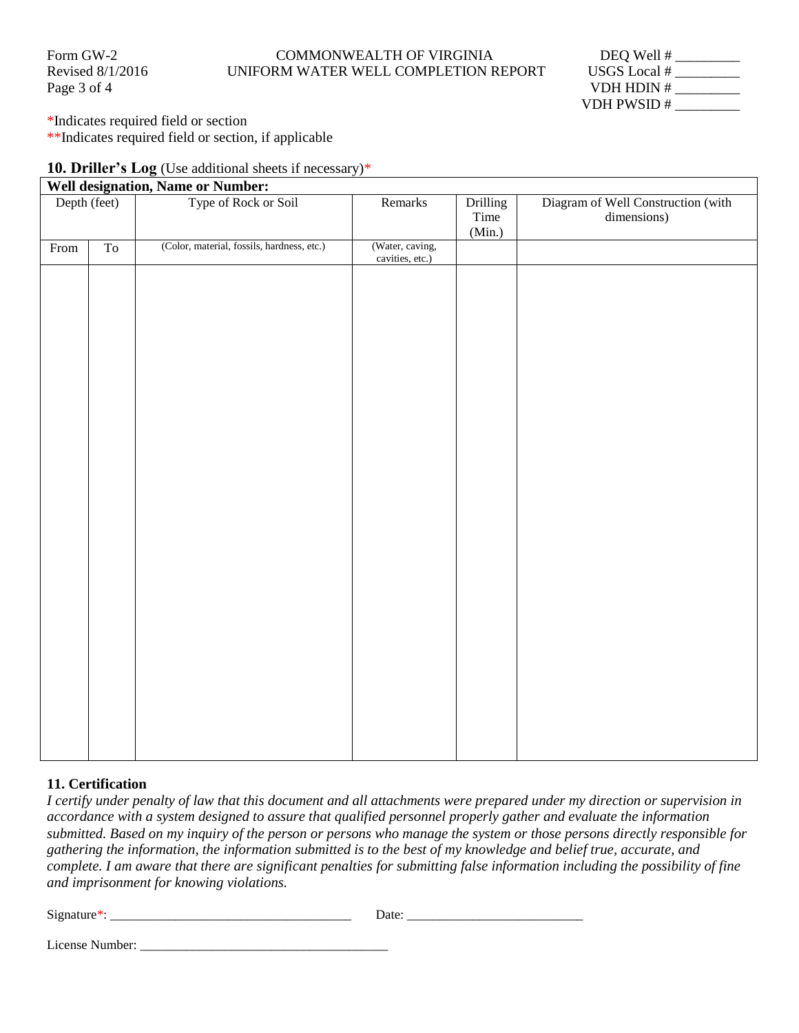#### Form GW-2 COMMONWEALTH OF VIRGINIA Revised 8/1/2016 UNIFORM WATER WELL COMPLETION REPORT

| Form GW-2        | COMMONWEALTH OF VIRGINIA             | DEQ Well #     |
|------------------|--------------------------------------|----------------|
| Revised 8/1/2016 | UNIFORM WATER WELL COMPLETION REPORT | USGS Local $#$ |
| Page 3 of 4      |                                      | VDH HDIN#      |
|                  |                                      | VDH PWSID#     |

\*Indicates required field or section

\*\*Indicates required field or section, if applicable

#### **10. Driller's Log** (Use additional sheets if necessary)\*

#### **Well designation, Name or Number:**

| Depth (feet) |                | Type of Rock or Soil                       | Remarks                            | Drilling<br>Time<br>(Min.) | Diagram of Well Construction (with<br>dimensions) |
|--------------|----------------|--------------------------------------------|------------------------------------|----------------------------|---------------------------------------------------|
| From         | T <sub>0</sub> | (Color, material, fossils, hardness, etc.) | (Water, caving,<br>cavities, etc.) |                            |                                                   |
|              |                |                                            |                                    |                            |                                                   |
|              |                |                                            |                                    |                            |                                                   |
|              |                |                                            |                                    |                            |                                                   |
|              |                |                                            |                                    |                            |                                                   |
|              |                |                                            |                                    |                            |                                                   |
|              |                |                                            |                                    |                            |                                                   |
|              |                |                                            |                                    |                            |                                                   |
|              |                |                                            |                                    |                            |                                                   |
|              |                |                                            |                                    |                            |                                                   |
|              |                |                                            |                                    |                            |                                                   |
|              |                |                                            |                                    |                            |                                                   |
|              |                |                                            |                                    |                            |                                                   |
|              |                |                                            |                                    |                            |                                                   |
|              |                |                                            |                                    |                            |                                                   |
|              |                |                                            |                                    |                            |                                                   |
|              |                |                                            |                                    |                            |                                                   |
|              |                |                                            |                                    |                            |                                                   |
|              |                |                                            |                                    |                            |                                                   |
|              |                |                                            |                                    |                            |                                                   |
|              |                |                                            |                                    |                            |                                                   |
|              |                |                                            |                                    |                            |                                                   |
|              |                |                                            |                                    |                            |                                                   |
|              |                |                                            |                                    |                            |                                                   |
|              |                |                                            |                                    |                            |                                                   |
|              |                |                                            |                                    |                            |                                                   |

#### **11. Certification**

*I certify under penalty of law that this document and all attachments were prepared under my direction or supervision in accordance with a system designed to assure that qualified personnel properly gather and evaluate the information submitted. Based on my inquiry of the person or persons who manage the system or those persons directly responsible for gathering the information, the information submitted is to the best of my knowledge and belief true, accurate, and complete. I am aware that there are significant penalties for submitting false information including the possibility of fine and imprisonment for knowing violations.* 

| $\sim$ |             |
|--------|-------------|
| 919    |             |
|        | ----<br>. . |

License Number: \_\_\_\_\_\_\_\_\_\_\_\_\_\_\_\_\_\_\_\_\_\_\_\_\_\_\_\_\_\_\_\_\_\_\_\_\_\_